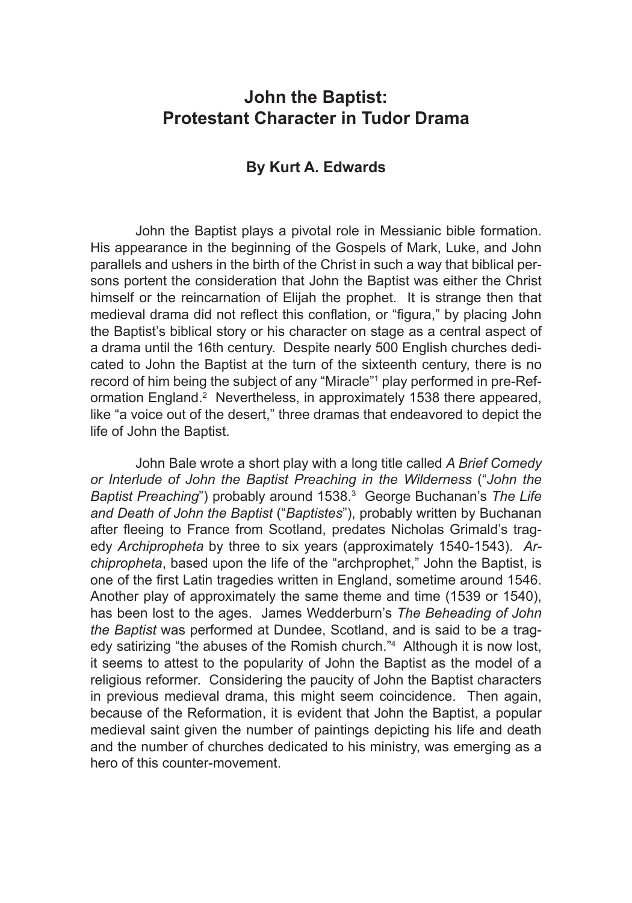# **John the Baptist: Protestant Character in Tudor Drama**

## **By Kurt A. Edwards**

John the Baptist plays a pivotal role in Messianic bible formation. His appearance in the beginning of the Gospels of Mark, Luke, and John parallels and ushers in the birth of the Christ in such a way that biblical persons portent the consideration that John the Baptist was either the Christ himself or the reincarnation of Elijah the prophet. It is strange then that medieval drama did not reflect this conflation, or "figura," by placing John the Baptist's biblical story or his character on stage as a central aspect of a drama until the 16th century. Despite nearly 500 English churches dedicated to John the Baptist at the turn of the sixteenth century, there is no record of him being the subject of any "Miracle"<sup>1</sup> play performed in pre-Reformation England.<sup>2</sup> Nevertheless, in approximately 1538 there appeared, like "a voice out of the desert," three dramas that endeavored to depict the life of John the Baptist.

John Bale wrote a short play with a long title called *A Brief Comedy or Interlude of John the Baptist Preaching in the Wilderness* ("*John the*  Baptist Preaching") probably around 1538.<sup>3</sup> George Buchanan's The Life *and Death of John the Baptist* ("*Baptistes*"), probably written by Buchanan after fleeing to France from Scotland, predates Nicholas Grimald's tragedy *Archipropheta* by three to six years (approximately 1540-1543). *Archipropheta*, based upon the life of the "archprophet," John the Baptist, is one of the first Latin tragedies written in England, sometime around 1546. Another play of approximately the same theme and time (1539 or 1540), has been lost to the ages. James Wedderburn's *The Beheading of John the Baptist* was performed at Dundee, Scotland, and is said to be a tragedy satirizing "the abuses of the Romish church."<sup>4</sup> Although it is now lost, it seems to attest to the popularity of John the Baptist as the model of a religious reformer. Considering the paucity of John the Baptist characters in previous medieval drama, this might seem coincidence. Then again, because of the Reformation, it is evident that John the Baptist, a popular medieval saint given the number of paintings depicting his life and death and the number of churches dedicated to his ministry, was emerging as a hero of this counter-movement.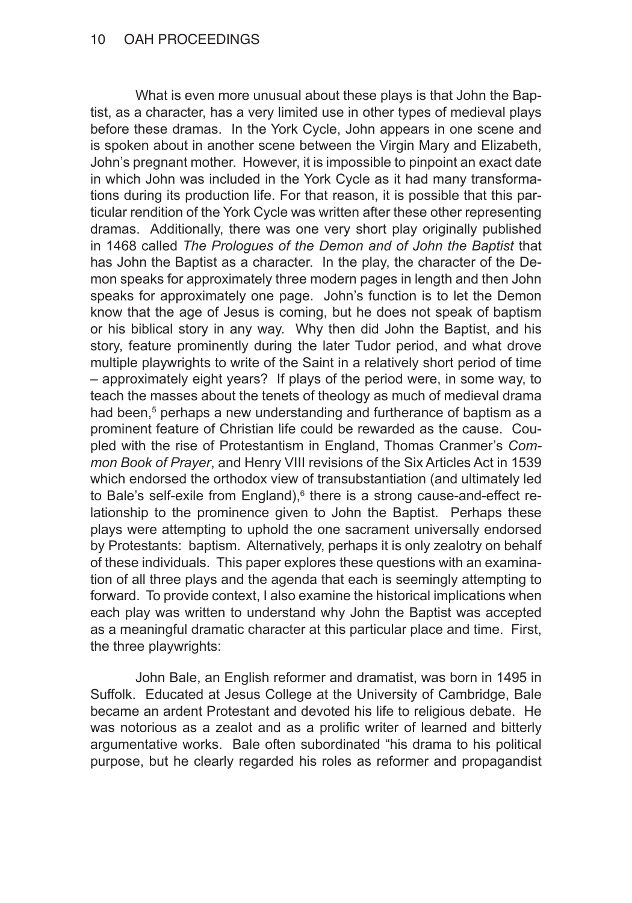What is even more unusual about these plays is that John the Baptist, as a character, has a very limited use in other types of medieval plays before these dramas. In the York Cycle, John appears in one scene and is spoken about in another scene between the Virgin Mary and Elizabeth, John's pregnant mother. However, it is impossible to pinpoint an exact date in which John was included in the York Cycle as it had many transformations during its production life. For that reason, it is possible that this particular rendition of the York Cycle was written after these other representing dramas. Additionally, there was one very short play originally published in 1468 called *The Prologues of the Demon and of John the Baptist* that has John the Baptist as a character. In the play, the character of the Demon speaks for approximately three modern pages in length and then John speaks for approximately one page. John's function is to let the Demon know that the age of Jesus is coming, but he does not speak of baptism or his biblical story in any way. Why then did John the Baptist, and his story, feature prominently during the later Tudor period, and what drove multiple playwrights to write of the Saint in a relatively short period of time – approximately eight years? If plays of the period were, in some way, to teach the masses about the tenets of theology as much of medieval drama had been,<sup>5</sup> perhaps a new understanding and furtherance of baptism as a prominent feature of Christian life could be rewarded as the cause. Coupled with the rise of Protestantism in England, Thomas Cranmer's *Common Book of Prayer*, and Henry VIII revisions of the Six Articles Act in 1539 which endorsed the orthodox view of transubstantiation (and ultimately led to Bale's self-exile from England),<sup>6</sup> there is a strong cause-and-effect relationship to the prominence given to John the Baptist. Perhaps these plays were attempting to uphold the one sacrament universally endorsed by Protestants: baptism. Alternatively, perhaps it is only zealotry on behalf of these individuals. This paper explores these questions with an examination of all three plays and the agenda that each is seemingly attempting to forward. To provide context, I also examine the historical implications when each play was written to understand why John the Baptist was accepted as a meaningful dramatic character at this particular place and time. First, the three playwrights:

John Bale, an English reformer and dramatist, was born in 1495 in Suffolk. Educated at Jesus College at the University of Cambridge, Bale became an ardent Protestant and devoted his life to religious debate. He was notorious as a zealot and as a prolific writer of learned and bitterly argumentative works. Bale often subordinated "his drama to his political purpose, but he clearly regarded his roles as reformer and propagandist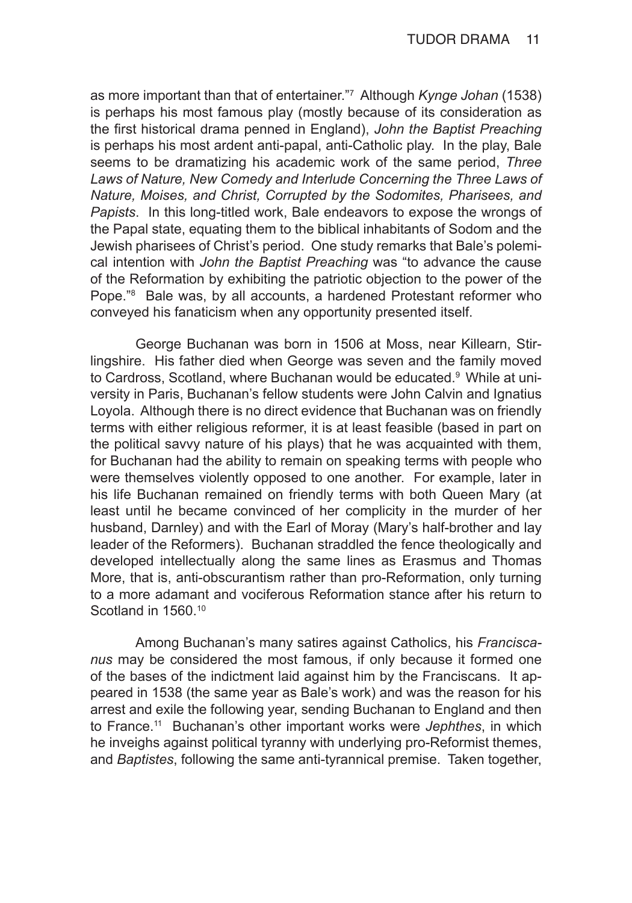as more important than that of entertainer."<sup>7</sup> Although *Kynge Johan* (1538) is perhaps his most famous play (mostly because of its consideration as the first historical drama penned in England), *John the Baptist Preaching* is perhaps his most ardent anti-papal, anti-Catholic play. In the play, Bale seems to be dramatizing his academic work of the same period, *Three*  Laws of Nature, New Comedy and Interlude Concerning the Three Laws of *Nature, Moises, and Christ, Corrupted by the Sodomites, Pharisees, and Papists*. In this long-titled work, Bale endeavors to expose the wrongs of the Papal state, equating them to the biblical inhabitants of Sodom and the Jewish pharisees of Christ's period. One study remarks that Bale's polemical intention with *John the Baptist Preaching* was "to advance the cause of the Reformation by exhibiting the patriotic objection to the power of the Pope."<sup>8</sup> Bale was, by all accounts, a hardened Protestant reformer who conveyed his fanaticism when any opportunity presented itself.

George Buchanan was born in 1506 at Moss, near Killearn, Stirlingshire. His father died when George was seven and the family moved to Cardross, Scotland, where Buchanan would be educated.<sup>9</sup> While at university in Paris, Buchanan's fellow students were John Calvin and Ignatius Loyola. Although there is no direct evidence that Buchanan was on friendly terms with either religious reformer, it is at least feasible (based in part on the political savvy nature of his plays) that he was acquainted with them, for Buchanan had the ability to remain on speaking terms with people who were themselves violently opposed to one another. For example, later in his life Buchanan remained on friendly terms with both Queen Mary (at least until he became convinced of her complicity in the murder of her husband, Darnley) and with the Earl of Moray (Mary's half-brother and lay leader of the Reformers). Buchanan straddled the fence theologically and developed intellectually along the same lines as Erasmus and Thomas More, that is, anti-obscurantism rather than pro-Reformation, only turning to a more adamant and vociferous Reformation stance after his return to Scotland in 1560.<sup>10</sup>

Among Buchanan's many satires against Catholics, his *Franciscanus* may be considered the most famous, if only because it formed one of the bases of the indictment laid against him by the Franciscans. It appeared in 1538 (the same year as Bale's work) and was the reason for his arrest and exile the following year, sending Buchanan to England and then to France.11 Buchanan's other important works were *Jephthes*, in which he inveighs against political tyranny with underlying pro-Reformist themes, and *Baptistes*, following the same anti-tyrannical premise. Taken together,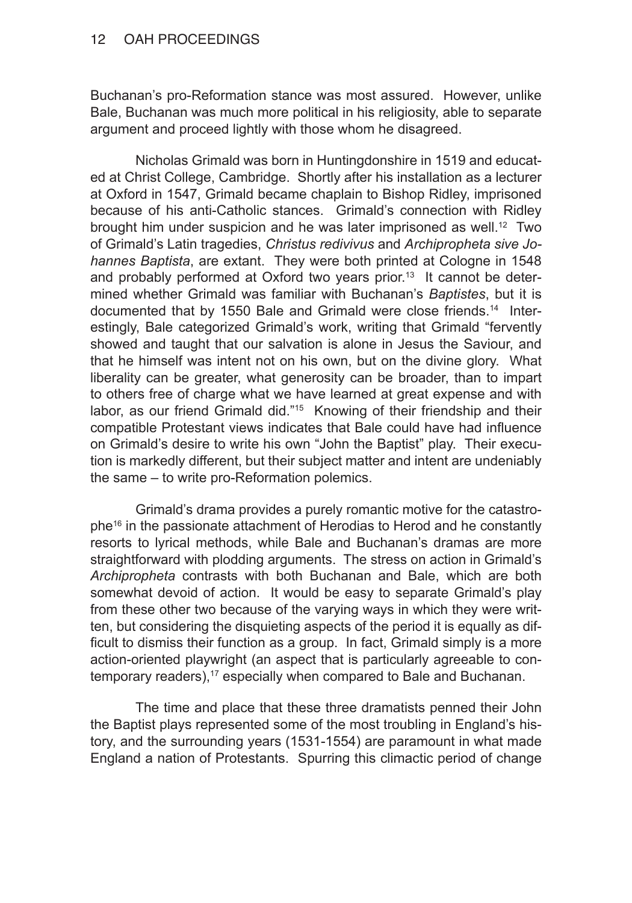### 12 OAH PROCEEDINGS

Buchanan's pro-Reformation stance was most assured. However, unlike Bale, Buchanan was much more political in his religiosity, able to separate argument and proceed lightly with those whom he disagreed.

Nicholas Grimald was born in Huntingdonshire in 1519 and educated at Christ College, Cambridge. Shortly after his installation as a lecturer at Oxford in 1547, Grimald became chaplain to Bishop Ridley, imprisoned because of his anti-Catholic stances. Grimald's connection with Ridley brought him under suspicion and he was later imprisoned as well.<sup>12</sup> Two of Grimald's Latin tragedies, *Christus redivivus* and *Archipropheta sive Johannes Baptista*, are extant. They were both printed at Cologne in 1548 and probably performed at Oxford two years prior.<sup>13</sup> It cannot be determined whether Grimald was familiar with Buchanan's *Baptistes*, but it is documented that by 1550 Bale and Grimald were close friends.14 Interestingly, Bale categorized Grimald's work, writing that Grimald "fervently showed and taught that our salvation is alone in Jesus the Saviour, and that he himself was intent not on his own, but on the divine glory. What liberality can be greater, what generosity can be broader, than to impart to others free of charge what we have learned at great expense and with labor, as our friend Grimald did."<sup>15</sup> Knowing of their friendship and their compatible Protestant views indicates that Bale could have had influence on Grimald's desire to write his own "John the Baptist" play. Their execution is markedly different, but their subject matter and intent are undeniably the same – to write pro-Reformation polemics.

Grimald's drama provides a purely romantic motive for the catastrophe16 in the passionate attachment of Herodias to Herod and he constantly resorts to lyrical methods, while Bale and Buchanan's dramas are more straightforward with plodding arguments. The stress on action in Grimald's *Archipropheta* contrasts with both Buchanan and Bale, which are both somewhat devoid of action. It would be easy to separate Grimald's play from these other two because of the varying ways in which they were written, but considering the disquieting aspects of the period it is equally as difficult to dismiss their function as a group. In fact, Grimald simply is a more action-oriented playwright (an aspect that is particularly agreeable to contemporary readers),<sup>17</sup> especially when compared to Bale and Buchanan.

The time and place that these three dramatists penned their John the Baptist plays represented some of the most troubling in England's history, and the surrounding years (1531-1554) are paramount in what made England a nation of Protestants. Spurring this climactic period of change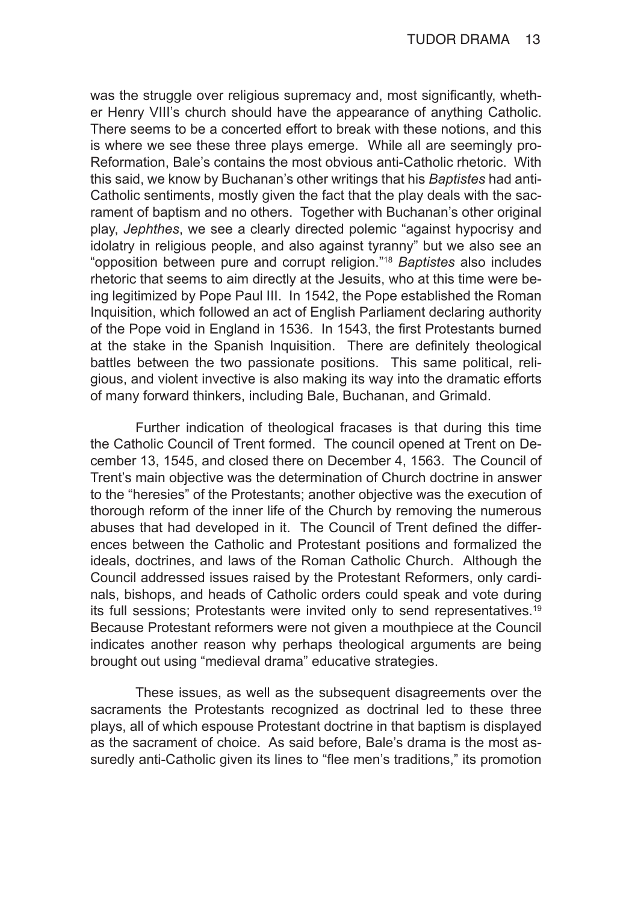was the struggle over religious supremacy and, most significantly, whether Henry VIII's church should have the appearance of anything Catholic. There seems to be a concerted effort to break with these notions, and this is where we see these three plays emerge. While all are seemingly pro-Reformation, Bale's contains the most obvious anti-Catholic rhetoric. With this said, we know by Buchanan's other writings that his *Baptistes* had anti-Catholic sentiments, mostly given the fact that the play deals with the sacrament of baptism and no others. Together with Buchanan's other original play, *Jephthes*, we see a clearly directed polemic "against hypocrisy and idolatry in religious people, and also against tyranny" but we also see an "opposition between pure and corrupt religion."<sup>18</sup> *Baptistes* also includes rhetoric that seems to aim directly at the Jesuits, who at this time were being legitimized by Pope Paul III. In 1542, the Pope established the Roman Inquisition, which followed an act of English Parliament declaring authority of the Pope void in England in 1536. In 1543, the first Protestants burned at the stake in the Spanish Inquisition. There are definitely theological battles between the two passionate positions. This same political, religious, and violent invective is also making its way into the dramatic efforts of many forward thinkers, including Bale, Buchanan, and Grimald.

Further indication of theological fracases is that during this time the Catholic Council of Trent formed. The council opened at Trent on December 13, 1545, and closed there on December 4, 1563. The Council of Trent's main objective was the determination of Church doctrine in answer to the "heresies" of the Protestants; another objective was the execution of thorough reform of the inner life of the Church by removing the numerous abuses that had developed in it. The Council of Trent defined the differences between the Catholic and Protestant positions and formalized the ideals, doctrines, and laws of the Roman Catholic Church. Although the Council addressed issues raised by the Protestant Reformers, only cardinals, bishops, and heads of Catholic orders could speak and vote during its full sessions; Protestants were invited only to send representatives.<sup>19</sup> Because Protestant reformers were not given a mouthpiece at the Council indicates another reason why perhaps theological arguments are being brought out using "medieval drama" educative strategies.

These issues, as well as the subsequent disagreements over the sacraments the Protestants recognized as doctrinal led to these three plays, all of which espouse Protestant doctrine in that baptism is displayed as the sacrament of choice. As said before, Bale's drama is the most assuredly anti-Catholic given its lines to "flee men's traditions," its promotion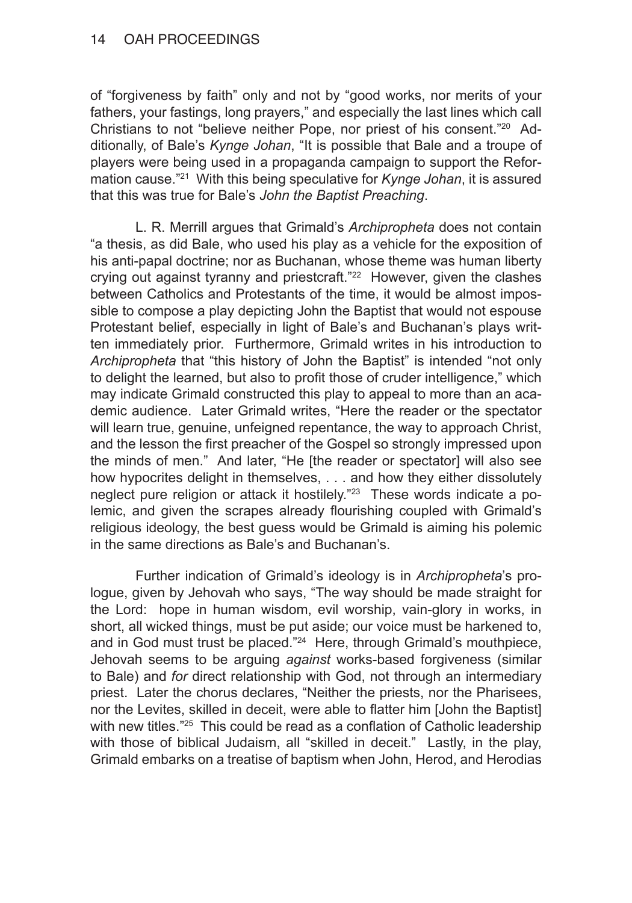of "forgiveness by faith" only and not by "good works, nor merits of your fathers, your fastings, long prayers," and especially the last lines which call Christians to not "believe neither Pope, nor priest of his consent."20 Additionally, of Bale's *Kynge Johan*, "It is possible that Bale and a troupe of players were being used in a propaganda campaign to support the Reformation cause."21 With this being speculative for *Kynge Johan*, it is assured that this was true for Bale's *John the Baptist Preaching*.

L. R. Merrill argues that Grimald's *Archipropheta* does not contain "a thesis, as did Bale, who used his play as a vehicle for the exposition of his anti-papal doctrine; nor as Buchanan, whose theme was human liberty crying out against tyranny and priestcraft."<sup>22</sup> However, given the clashes between Catholics and Protestants of the time, it would be almost impossible to compose a play depicting John the Baptist that would not espouse Protestant belief, especially in light of Bale's and Buchanan's plays written immediately prior. Furthermore, Grimald writes in his introduction to *Archipropheta* that "this history of John the Baptist" is intended "not only to delight the learned, but also to profit those of cruder intelligence," which may indicate Grimald constructed this play to appeal to more than an academic audience. Later Grimald writes, "Here the reader or the spectator will learn true, genuine, unfeigned repentance, the way to approach Christ, and the lesson the first preacher of the Gospel so strongly impressed upon the minds of men." And later, "He [the reader or spectator] will also see how hypocrites delight in themselves, . . . and how they either dissolutely neglect pure religion or attack it hostilely."<sup>23</sup> These words indicate a polemic, and given the scrapes already flourishing coupled with Grimald's religious ideology, the best guess would be Grimald is aiming his polemic in the same directions as Bale's and Buchanan's.

Further indication of Grimald's ideology is in *Archipropheta*'s prologue, given by Jehovah who says, "The way should be made straight for the Lord: hope in human wisdom, evil worship, vain-glory in works, in short, all wicked things, must be put aside; our voice must be harkened to, and in God must trust be placed."<sup>24</sup> Here, through Grimald's mouthpiece, Jehovah seems to be arguing *against* works-based forgiveness (similar to Bale) and *for* direct relationship with God, not through an intermediary priest. Later the chorus declares, "Neither the priests, nor the Pharisees, nor the Levites, skilled in deceit, were able to flatter him [John the Baptist] with new titles."<sup>25</sup> This could be read as a conflation of Catholic leadership with those of biblical Judaism, all "skilled in deceit." Lastly, in the play, Grimald embarks on a treatise of baptism when John, Herod, and Herodias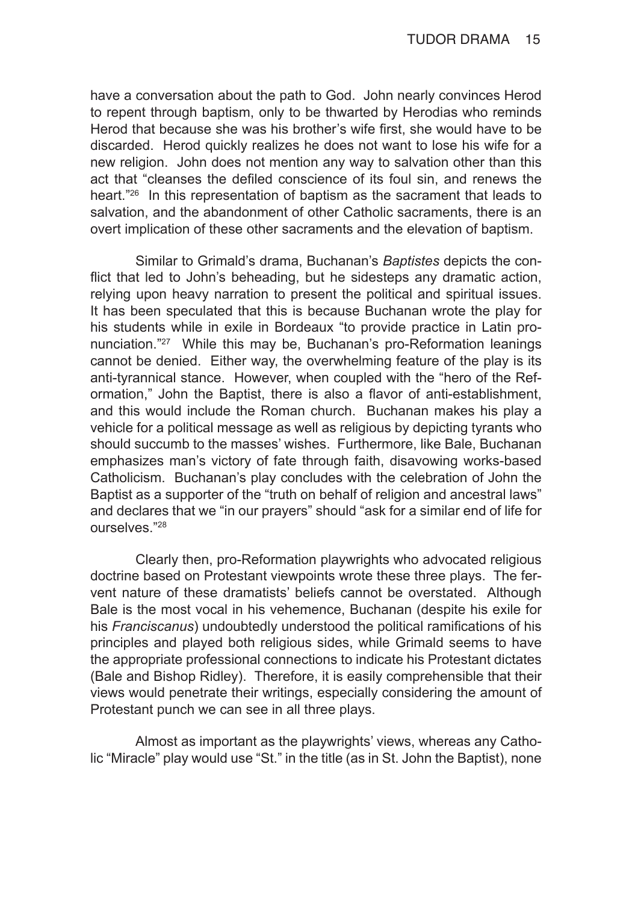have a conversation about the path to God. John nearly convinces Herod to repent through baptism, only to be thwarted by Herodias who reminds Herod that because she was his brother's wife first, she would have to be discarded. Herod quickly realizes he does not want to lose his wife for a new religion. John does not mention any way to salvation other than this act that "cleanses the defiled conscience of its foul sin, and renews the heart."26 In this representation of baptism as the sacrament that leads to salvation, and the abandonment of other Catholic sacraments, there is an overt implication of these other sacraments and the elevation of baptism.

Similar to Grimald's drama, Buchanan's *Baptistes* depicts the conflict that led to John's beheading, but he sidesteps any dramatic action, relying upon heavy narration to present the political and spiritual issues. It has been speculated that this is because Buchanan wrote the play for his students while in exile in Bordeaux "to provide practice in Latin pronunciation."27 While this may be, Buchanan's pro-Reformation leanings cannot be denied. Either way, the overwhelming feature of the play is its anti-tyrannical stance. However, when coupled with the "hero of the Reformation," John the Baptist, there is also a flavor of anti-establishment, and this would include the Roman church. Buchanan makes his play a vehicle for a political message as well as religious by depicting tyrants who should succumb to the masses' wishes. Furthermore, like Bale, Buchanan emphasizes man's victory of fate through faith, disavowing works-based Catholicism. Buchanan's play concludes with the celebration of John the Baptist as a supporter of the "truth on behalf of religion and ancestral laws" and declares that we "in our prayers" should "ask for a similar end of life for ourselves."28

Clearly then, pro-Reformation playwrights who advocated religious doctrine based on Protestant viewpoints wrote these three plays. The fervent nature of these dramatists' beliefs cannot be overstated. Although Bale is the most vocal in his vehemence, Buchanan (despite his exile for his *Franciscanus*) undoubtedly understood the political ramifications of his principles and played both religious sides, while Grimald seems to have the appropriate professional connections to indicate his Protestant dictates (Bale and Bishop Ridley). Therefore, it is easily comprehensible that their views would penetrate their writings, especially considering the amount of Protestant punch we can see in all three plays.

Almost as important as the playwrights' views, whereas any Catholic "Miracle" play would use "St." in the title (as in St. John the Baptist), none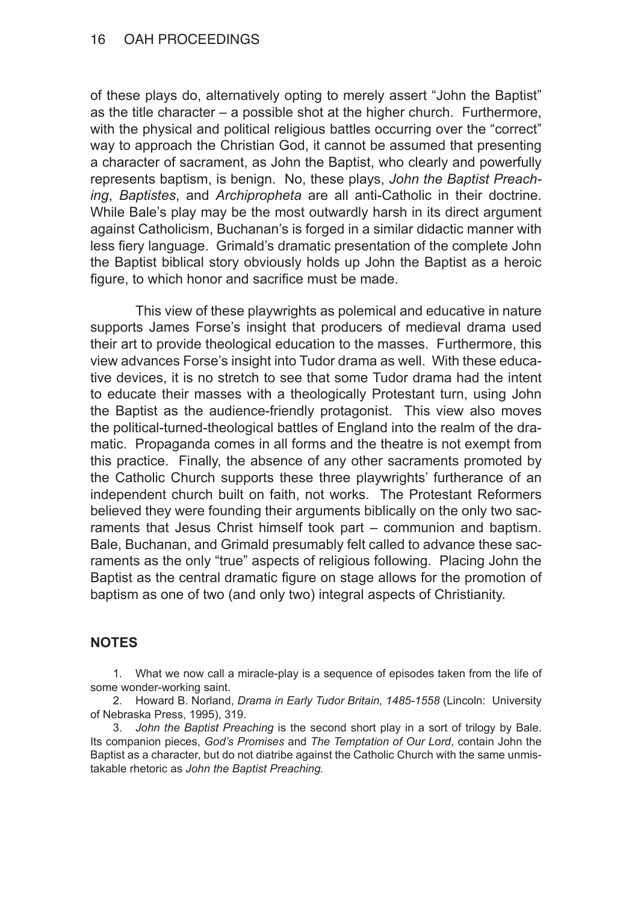#### 16 OAH PROCEEDINGS

of these plays do, alternatively opting to merely assert "John the Baptist" as the title character – a possible shot at the higher church. Furthermore, with the physical and political religious battles occurring over the "correct" way to approach the Christian God, it cannot be assumed that presenting a character of sacrament, as John the Baptist, who clearly and powerfully represents baptism, is benign. No, these plays, *John the Baptist Preaching*, *Baptistes*, and *Archipropheta* are all anti-Catholic in their doctrine. While Bale's play may be the most outwardly harsh in its direct argument against Catholicism, Buchanan's is forged in a similar didactic manner with less fiery language. Grimald's dramatic presentation of the complete John the Baptist biblical story obviously holds up John the Baptist as a heroic figure, to which honor and sacrifice must be made.

This view of these playwrights as polemical and educative in nature supports James Forse's insight that producers of medieval drama used their art to provide theological education to the masses. Furthermore, this view advances Forse's insight into Tudor drama as well. With these educative devices, it is no stretch to see that some Tudor drama had the intent to educate their masses with a theologically Protestant turn, using John the Baptist as the audience-friendly protagonist. This view also moves the political-turned-theological battles of England into the realm of the dramatic. Propaganda comes in all forms and the theatre is not exempt from this practice. Finally, the absence of any other sacraments promoted by the Catholic Church supports these three playwrights' furtherance of an independent church built on faith, not works. The Protestant Reformers believed they were founding their arguments biblically on the only two sacraments that Jesus Christ himself took part – communion and baptism. Bale, Buchanan, and Grimald presumably felt called to advance these sacraments as the only "true" aspects of religious following. Placing John the Baptist as the central dramatic figure on stage allows for the promotion of baptism as one of two (and only two) integral aspects of Christianity.

### **NOTES**

1. What we now call a miracle-play is a sequence of episodes taken from the life of some wonder-working saint.

2. Howard B. Norland, *Drama in Early Tudor Britain, 1485-1558* (Lincoln: University of Nebraska Press, 1995), 319.

3. *John the Baptist Preaching* is the second short play in a sort of trilogy by Bale. Its companion pieces, *God's Promises* and *The Temptation of Our Lord*, contain John the Baptist as a character, but do not diatribe against the Catholic Church with the same unmistakable rhetoric as *John the Baptist Preaching.*